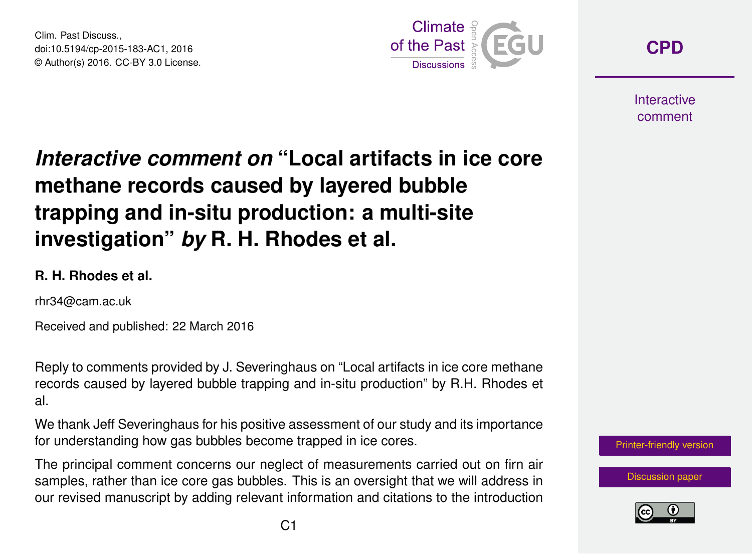Clim. Past Discuss., doi:10.5194/cp-2015-183-AC1, 2016 © Author(s) 2016. CC-BY 3.0 License.



**[CPD](http://www.clim-past-discuss.net/)**

**Interactive** comment

## *Interactive comment on* **"Local artifacts in ice core methane records caused by layered bubble trapping and in-situ production: a multi-site investigation"** *by* **R. H. Rhodes et al.**

## **R. H. Rhodes et al.**

rhr34@cam.ac.uk

Received and published: 22 March 2016

Reply to comments provided by J. Severinghaus on "Local artifacts in ice core methane records caused by layered bubble trapping and in-situ production" by R.H. Rhodes et al.

We thank Jeff Severinghaus for his positive assessment of our study and its importance for understanding how gas bubbles become trapped in ice cores.

The principal comment concerns our neglect of measurements carried out on firn air samples, rather than ice core gas bubbles. This is an oversight that we will address in our revised manuscript by adding relevant information and citations to the introduction



[Discussion paper](http://www.clim-past-discuss.net/cp-2015-183)